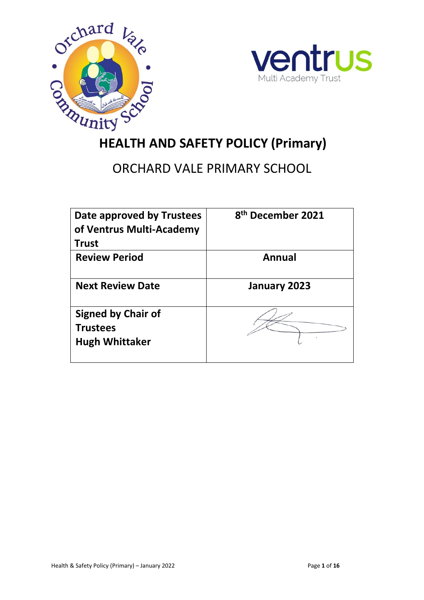



# **HEALTH AND SAFETY POLICY (Primary)**

# ORCHARD VALE PRIMARY SCHOOL

| Date approved by Trustees<br>of Ventrus Multi-Academy<br><b>Trust</b> | 8 <sup>th</sup> December 2021 |
|-----------------------------------------------------------------------|-------------------------------|
| <b>Review Period</b>                                                  | Annual                        |
| <b>Next Review Date</b>                                               | January 2023                  |
| <b>Signed by Chair of</b><br><b>Trustees</b><br><b>Hugh Whittaker</b> |                               |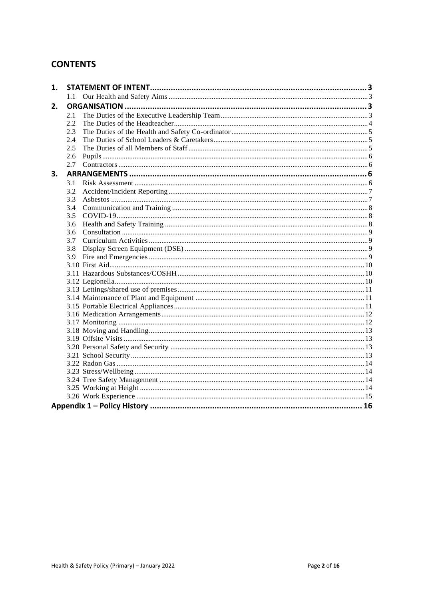# **CONTENTS**

| 1. |         |  |  |  |
|----|---------|--|--|--|
|    | $1.1 -$ |  |  |  |
| 2. |         |  |  |  |
|    | 2.1     |  |  |  |
|    | 2.2     |  |  |  |
|    | 2.3     |  |  |  |
|    | 2.4     |  |  |  |
|    | 2.5     |  |  |  |
|    | 2.6     |  |  |  |
|    | 2.7     |  |  |  |
| 3. |         |  |  |  |
|    | 3.1     |  |  |  |
|    | 3.2     |  |  |  |
|    | 3.3     |  |  |  |
|    | 3.4     |  |  |  |
|    | 3.5     |  |  |  |
|    | 3.6     |  |  |  |
|    | 3.6     |  |  |  |
|    | 3.7     |  |  |  |
|    | 3.8     |  |  |  |
|    | 3.9     |  |  |  |
|    |         |  |  |  |
|    |         |  |  |  |
|    |         |  |  |  |
|    |         |  |  |  |
|    |         |  |  |  |
|    |         |  |  |  |
|    |         |  |  |  |
|    |         |  |  |  |
|    |         |  |  |  |
|    |         |  |  |  |
|    |         |  |  |  |
|    |         |  |  |  |
|    |         |  |  |  |
|    |         |  |  |  |
|    |         |  |  |  |
|    |         |  |  |  |
|    |         |  |  |  |
|    |         |  |  |  |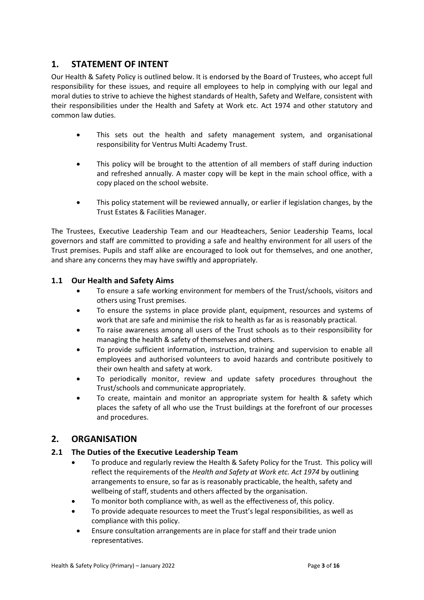# <span id="page-2-0"></span>**1. STATEMENT OF INTENT**

Our Health & Safety Policy is outlined below. It is endorsed by the Board of Trustees, who accept full responsibility for these issues, and require all employees to help in complying with our legal and moral duties to strive to achieve the highest standards of Health, Safety and Welfare, consistent with their responsibilities under the Health and Safety at Work etc. Act 1974 and other statutory and common law duties.

- This sets out the health and safety management system, and organisational responsibility for Ventrus Multi Academy Trust.
- This policy will be brought to the attention of all members of staff during induction and refreshed annually. A master copy will be kept in the main school office, with a copy placed on the school website.
- This policy statement will be reviewed annually, or earlier if legislation changes, by the Trust Estates & Facilities Manager.

The Trustees, Executive Leadership Team and our Headteachers, Senior Leadership Teams, local governors and staff are committed to providing a safe and healthy environment for all users of the Trust premises. Pupils and staff alike are encouraged to look out for themselves, and one another, and share any concerns they may have swiftly and appropriately.

# <span id="page-2-1"></span>**1.1 Our Health and Safety Aims**

- To ensure a safe working environment for members of the Trust/schools, visitors and others using Trust premises.
- To ensure the systems in place provide plant, equipment, resources and systems of work that are safe and minimise the risk to health as far as is reasonably practical.
- To raise awareness among all users of the Trust schools as to their responsibility for managing the health & safety of themselves and others.
- To provide sufficient information, instruction, training and supervision to enable all employees and authorised volunteers to avoid hazards and contribute positively to their own health and safety at work.
- To periodically monitor, review and update safety procedures throughout the Trust/schools and communicate appropriately.
- To create, maintain and monitor an appropriate system for health & safety which places the safety of all who use the Trust buildings at the forefront of our processes and procedures.

# <span id="page-2-2"></span>**2. ORGANISATION**

#### <span id="page-2-3"></span>**2.1 The Duties of the Executive Leadership Team**

- To produce and regularly review the Health & Safety Policy for the Trust. This policy will reflect the requirements of the *Health and Safety at Work etc. Act 1974* by outlining arrangements to ensure, so far as is reasonably practicable, the health, safety and wellbeing of staff, students and others affected by the organisation.
- To monitor both compliance with, as well as the effectiveness of, this policy.
- To provide adequate resources to meet the Trust's legal responsibilities, as well as compliance with this policy.
- Ensure consultation arrangements are in place for staff and their trade union representatives.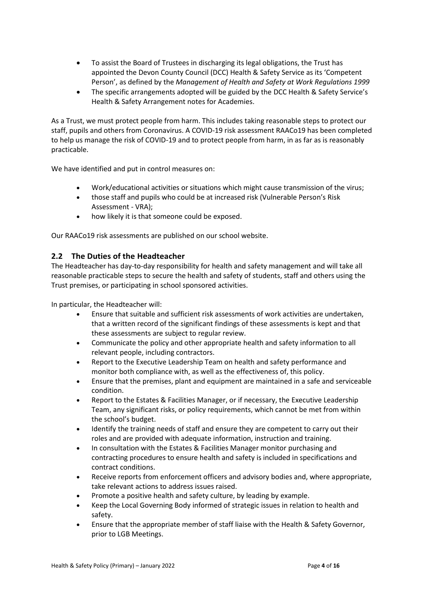- To assist the Board of Trustees in discharging its legal obligations, the Trust has appointed the Devon County Council (DCC) Health & Safety Service as its 'Competent Person', as defined by the *Management of Health and Safety at Work Regulations 1999*
- The specific arrangements adopted will be guided by the DCC Health & Safety Service's Health & Safety Arrangement notes for Academies.

As a Trust, we must protect people from harm. This includes taking reasonable steps to protect our staff, pupils and others from Coronavirus. A COVID-19 risk assessment RAACo19 has been completed to help us manage the risk of COVID-19 and to protect people from harm, in as far as is reasonably practicable.

We have identified and put in control measures on:

- Work/educational activities or situations which might cause transmission of the virus;
- those staff and pupils who could be at increased risk (Vulnerable Person's Risk Assessment - VRA);
- how likely it is that someone could be exposed.

Our RAACo19 risk assessments are published on our school website.

#### <span id="page-3-0"></span>**2.2 The Duties of the Headteacher**

The Headteacher has day-to-day responsibility for health and safety management and will take all reasonable practicable steps to secure the health and safety of students, staff and others using the Trust premises, or participating in school sponsored activities.

In particular, the Headteacher will:

- Ensure that suitable and sufficient risk assessments of work activities are undertaken, that a written record of the significant findings of these assessments is kept and that these assessments are subject to regular review.
- Communicate the policy and other appropriate health and safety information to all relevant people, including contractors.
- Report to the Executive Leadership Team on health and safety performance and monitor both compliance with, as well as the effectiveness of, this policy.
- Ensure that the premises, plant and equipment are maintained in a safe and serviceable condition.
- Report to the Estates & Facilities Manager, or if necessary, the Executive Leadership Team, any significant risks, or policy requirements, which cannot be met from within the school's budget.
- Identify the training needs of staff and ensure they are competent to carry out their roles and are provided with adequate information, instruction and training.
- In consultation with the Estates & Facilities Manager monitor purchasing and contracting procedures to ensure health and safety is included in specifications and contract conditions.
- Receive reports from enforcement officers and advisory bodies and, where appropriate, take relevant actions to address issues raised.
- Promote a positive health and safety culture, by leading by example.
- Keep the Local Governing Body informed of strategic issues in relation to health and safety.
- Ensure that the appropriate member of staff liaise with the Health & Safety Governor, prior to LGB Meetings.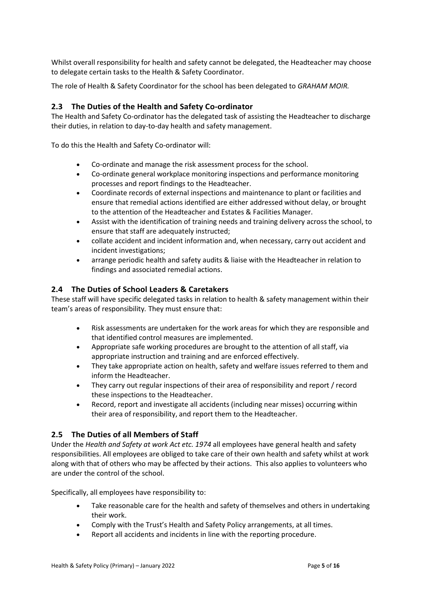Whilst overall responsibility for health and safety cannot be delegated, the Headteacher may choose to delegate certain tasks to the Health & Safety Coordinator.

The role of Health & Safety Coordinator for the school has been delegated to *GRAHAM MOIR.*

#### <span id="page-4-0"></span>**2.3 The Duties of the Health and Safety Co-ordinator**

The Health and Safety Co-ordinator has the delegated task of assisting the Headteacher to discharge their duties, in relation to day-to-day health and safety management.

To do this the Health and Safety Co-ordinator will:

- Co-ordinate and manage the risk assessment process for the school.
- Co-ordinate general workplace monitoring inspections and performance monitoring processes and report findings to the Headteacher.
- Coordinate records of external inspections and maintenance to plant or facilities and ensure that remedial actions identified are either addressed without delay, or brought to the attention of the Headteacher and Estates & Facilities Manager.
- Assist with the identification of training needs and training delivery across the school, to ensure that staff are adequately instructed;
- collate accident and incident information and, when necessary, carry out accident and incident investigations;
- arrange periodic health and safety audits & liaise with the Headteacher in relation to findings and associated remedial actions.

#### <span id="page-4-1"></span>**2.4 The Duties of School Leaders & Caretakers**

These staff will have specific delegated tasks in relation to health & safety management within their team's areas of responsibility*.* They must ensure that:

- Risk assessments are undertaken for the work areas for which they are responsible and that identified control measures are implemented.
- Appropriate safe working procedures are brought to the attention of all staff, via appropriate instruction and training and are enforced effectively.
- They take appropriate action on health, safety and welfare issues referred to them and inform the Headteacher.
- They carry out regular inspections of their area of responsibility and report / record these inspections to the Headteacher.
- Record, report and investigate all accidents (including near misses) occurring within their area of responsibility, and report them to the Headteacher.

#### <span id="page-4-2"></span>**2.5 The Duties of all Members of Staff**

Under the *Health and Safety at work Act etc. 1974* all employees have general health and safety responsibilities. All employees are obliged to take care of their own health and safety whilst at work along with that of others who may be affected by their actions. This also applies to volunteers who are under the control of the school.

Specifically, all employees have responsibility to:

- Take reasonable care for the health and safety of themselves and others in undertaking their work.
- Comply with the Trust's Health and Safety Policy arrangements, at all times.
- Report all accidents and incidents in line with the reporting procedure.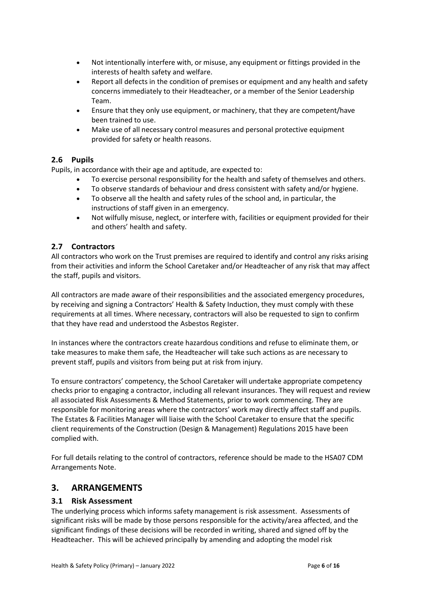- Not intentionally interfere with, or misuse, any equipment or fittings provided in the interests of health safety and welfare.
- Report all defects in the condition of premises or equipment and any health and safety concerns immediately to their Headteacher, or a member of the Senior Leadership Team.
- Ensure that they only use equipment, or machinery, that they are competent/have been trained to use.
- Make use of all necessary control measures and personal protective equipment provided for safety or health reasons.

#### <span id="page-5-0"></span>**2.6 Pupils**

Pupils, in accordance with their age and aptitude, are expected to:

- To exercise personal responsibility for the health and safety of themselves and others.
- To observe standards of behaviour and dress consistent with safety and/or hygiene.
- To observe all the health and safety rules of the school and, in particular, the instructions of staff given in an emergency.
- Not wilfully misuse, neglect, or interfere with, facilities or equipment provided for their and others' health and safety.

#### <span id="page-5-1"></span>**2.7 Contractors**

All contractors who work on the Trust premises are required to identify and control any risks arising from their activities and inform the School Caretaker and/or Headteacher of any risk that may affect the staff, pupils and visitors.

All contractors are made aware of their responsibilities and the associated emergency procedures, by receiving and signing a Contractors' Health & Safety Induction, they must comply with these requirements at all times. Where necessary, contractors will also be requested to sign to confirm that they have read and understood the Asbestos Register.

In instances where the contractors create hazardous conditions and refuse to eliminate them, or take measures to make them safe, the Headteacher will take such actions as are necessary to prevent staff, pupils and visitors from being put at risk from injury.

To ensure contractors' competency, the School Caretaker will undertake appropriate competency checks prior to engaging a contractor, including all relevant insurances. They will request and review all associated Risk Assessments & Method Statements, prior to work commencing. They are responsible for monitoring areas where the contractors' work may directly affect staff and pupils. The Estates & Facilities Manager will liaise with the School Caretaker to ensure that the specific client requirements of the Construction (Design & Management) Regulations 2015 have been complied with.

For full details relating to the control of contractors, reference should be made to the HSA07 CDM Arrangements Note.

# <span id="page-5-2"></span>**3. ARRANGEMENTS**

#### <span id="page-5-3"></span>**3.1 Risk Assessment**

The underlying process which informs safety management is risk assessment. Assessments of significant risks will be made by those persons responsible for the activity/area affected, and the significant findings of these decisions will be recorded in writing, shared and signed off by the Headteacher. This will be achieved principally by amending and adopting the model risk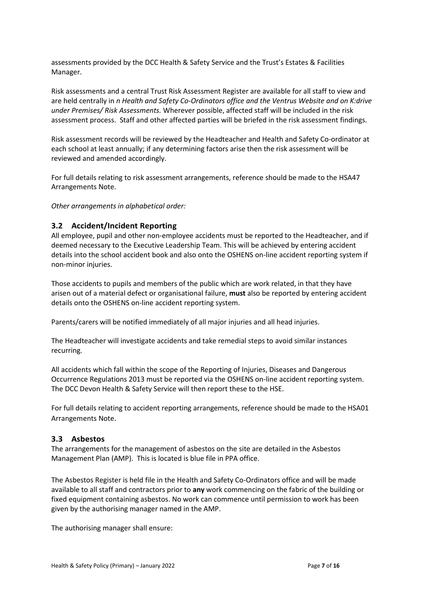assessments provided by the DCC Health & Safety Service and the Trust's Estates & Facilities Manager.

Risk assessments and a central Trust Risk Assessment Register are available for all staff to view and are held centrally in *n Health and Safety Co-Ordinators office and the Ventrus Website and on K:drive under Premises/ Risk Assessments.* Wherever possible, affected staff will be included in the risk assessment process. Staff and other affected parties will be briefed in the risk assessment findings.

Risk assessment records will be reviewed by the Headteacher and Health and Safety Co-ordinator at each school at least annually; if any determining factors arise then the risk assessment will be reviewed and amended accordingly.

For full details relating to risk assessment arrangements, reference should be made to the HSA47 Arrangements Note.

*Other arrangements in alphabetical order:*

#### <span id="page-6-0"></span>**3.2 Accident/Incident Reporting**

All employee, pupil and other non-employee accidents must be reported to the Headteacher, and if deemed necessary to the Executive Leadership Team. This will be achieved by entering accident details into the school accident book and also onto the OSHENS on-line accident reporting system if non-minor injuries.

Those accidents to pupils and members of the public which are work related, in that they have arisen out of a material defect or organisational failure, **must** also be reported by entering accident details onto the OSHENS on-line accident reporting system.

Parents/carers will be notified immediately of all major injuries and all head injuries.

The Headteacher will investigate accidents and take remedial steps to avoid similar instances recurring.

All accidents which fall within the scope of the Reporting of Injuries, Diseases and Dangerous Occurrence Regulations 2013 must be reported via the OSHENS on-line accident reporting system. The DCC Devon Health & Safety Service will then report these to the HSE.

For full details relating to accident reporting arrangements, reference should be made to the HSA01 Arrangements Note.

#### <span id="page-6-1"></span>**3.3 Asbestos**

The arrangements for the management of asbestos on the site are detailed in the Asbestos Management Plan (AMP). This is located is blue file in PPA office.

The Asbestos Register is held file in the Health and Safety Co-Ordinators office and will be made available to all staff and contractors prior to **any** work commencing on the fabric of the building or fixed equipment containing asbestos. No work can commence until permission to work has been given by the authorising manager named in the AMP.

The authorising manager shall ensure: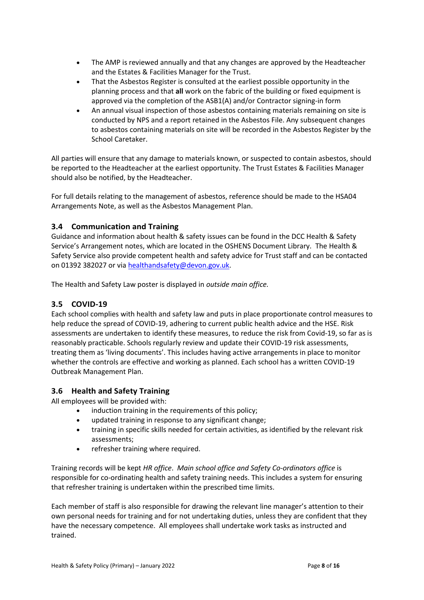- The AMP is reviewed annually and that any changes are approved by the Headteacher and the Estates & Facilities Manager for the Trust.
- That the Asbestos Register is consulted at the earliest possible opportunity in the planning process and that **all** work on the fabric of the building or fixed equipment is approved via the completion of the ASB1(A) and/or Contractor signing-in form
- An annual visual inspection of those asbestos containing materials remaining on site is conducted by NPS and a report retained in the Asbestos File. Any subsequent changes to asbestos containing materials on site will be recorded in the Asbestos Register by the School Caretaker.

All parties will ensure that any damage to materials known, or suspected to contain asbestos, should be reported to the Headteacher at the earliest opportunity. The Trust Estates & Facilities Manager should also be notified, by the Headteacher.

For full details relating to the management of asbestos, reference should be made to the HSA04 Arrangements Note, as well as the Asbestos Management Plan.

# <span id="page-7-0"></span>**3.4 Communication and Training**

Guidance and information about health & safety issues can be found in the DCC Health & Safety Service's Arrangement notes, which are located in the OSHENS Document Library. The Health & Safety Service also provide competent health and safety advice for Trust staff and can be contacted on 01392 382027 or vi[a healthandsafety@devon.gov.uk.](mailto:healthandsafety@devon.gov.uk)

The Health and Safety Law poster is displayed in *outside main office.*

# <span id="page-7-1"></span>**3.5 COVID-19**

Each school complies with health and safety law and puts in place proportionate control measures to help reduce the spread of COVID-19, adhering to current public health advice and the HSE. Risk assessments are undertaken to identify these measures, to reduce the risk from Covid-19, so far as is reasonably practicable. Schools regularly review and update their COVID-19 risk assessments, treating them as 'living documents'. This includes having active arrangements in place to monitor whether the controls are effective and working as planned. Each school has a written COVID-19 Outbreak Management Plan.

#### <span id="page-7-2"></span>**3.6 Health and Safety Training**

All employees will be provided with:

- induction training in the requirements of this policy;
- updated training in response to any significant change;
- training in specific skills needed for certain activities, as identified by the relevant risk assessments;
- refresher training where required.

Training records will be kept *HR office*. *Main school office and Safety Co-ordinators office* is responsible for co-ordinating health and safety training needs. This includes a system for ensuring that refresher training is undertaken within the prescribed time limits.

Each member of staff is also responsible for drawing the relevant line manager's attention to their own personal needs for training and for not undertaking duties, unless they are confident that they have the necessary competence. All employees shall undertake work tasks as instructed and trained.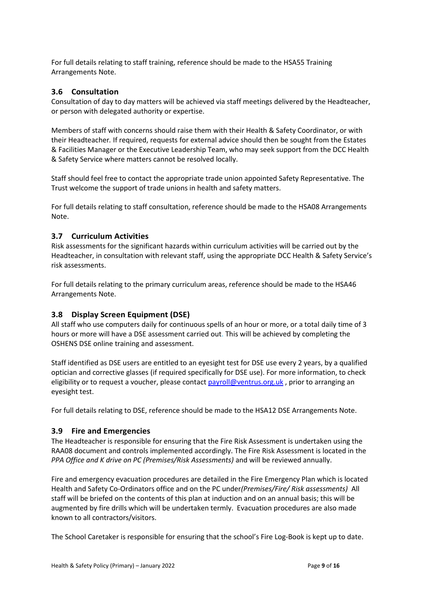For full details relating to staff training, reference should be made to the HSA55 Training Arrangements Note.

### <span id="page-8-0"></span>**3.6 Consultation**

Consultation of day to day matters will be achieved via staff meetings delivered by the Headteacher, or person with delegated authority or expertise.

Members of staff with concerns should raise them with their Health & Safety Coordinator, or with their Headteacher*.* If required, requests for external advice should then be sought from the Estates & Facilities Manager or the Executive Leadership Team, who may seek support from the DCC Health & Safety Service where matters cannot be resolved locally.

Staff should feel free to contact the appropriate trade union appointed Safety Representative. The Trust welcome the support of trade unions in health and safety matters.

For full details relating to staff consultation, reference should be made to the HSA08 Arrangements Note.

# <span id="page-8-1"></span>**3.7 Curriculum Activities**

Risk assessments for the significant hazards within curriculum activities will be carried out by the Headteacher, in consultation with relevant staff, using the appropriate DCC Health & Safety Service's risk assessments.

For full details relating to the primary curriculum areas, reference should be made to the HSA46 Arrangements Note.

#### <span id="page-8-2"></span>**3.8 Display Screen Equipment (DSE)**

All staff who use computers daily for continuous spells of an hour or more, or a total daily time of 3 hours or more will have a DSE assessment carried out. This will be achieved by completing the OSHENS DSE online training and assessment.

Staff identified as DSE users are entitled to an eyesight test for DSE use every 2 years, by a qualified optician and corrective glasses (if required specifically for DSE use). For more information, to check eligibility or to request a voucher, please contact [payroll@ventrus.org.uk](mailto:payroll@ventrus.org.uk), prior to arranging an eyesight test.

For full details relating to DSE, reference should be made to the HSA12 DSE Arrangements Note.

#### <span id="page-8-3"></span>**3.9 Fire and Emergencies**

The Headteacher is responsible for ensuring that the Fire Risk Assessment is undertaken using the RAA08 document and controls implemented accordingly. The Fire Risk Assessment is located in the *PPA Office and K drive on PC (Premises/Risk Assessments)* and will be reviewed annually.

Fire and emergency evacuation procedures are detailed in the Fire Emergency Plan which is located Health and Safety Co-Ordinators office and on the PC under*(Premises/Fire/ Risk assessments)* All staff will be briefed on the contents of this plan at induction and on an annual basis; this will be augmented by fire drills which will be undertaken termly. Evacuation procedures are also made known to all contractors/visitors.

The School Caretaker is responsible for ensuring that the school's Fire Log-Book is kept up to date.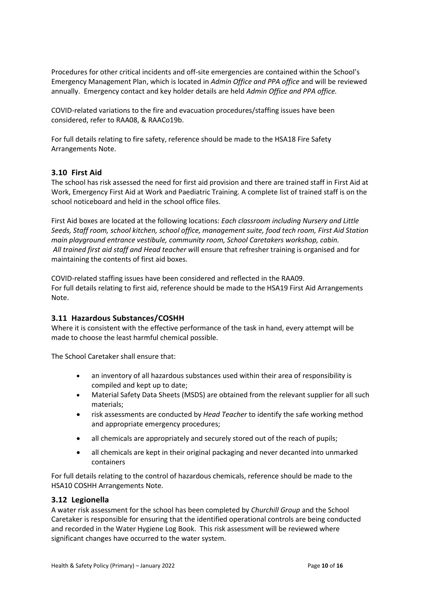Procedures for other critical incidents and off-site emergencies are contained within the School's Emergency Management Plan, which is located in *Admin Office and PPA office* and will be reviewed annually. Emergency contact and key holder details are held *Admin Office and PPA office.*

COVID-related variations to the fire and evacuation procedures/staffing issues have been considered, refer to RAA08, & RAACo19b.

For full details relating to fire safety, reference should be made to the HSA18 Fire Safety Arrangements Note.

#### <span id="page-9-0"></span>**3.10 First Aid**

The school has risk assessed the need for first aid provision and there are trained staff in First Aid at Work, Emergency First Aid at Work and Paediatric Training. A complete list of trained staff is on the school noticeboard and held in the school office files.

First Aid boxes are located at the following locations: *Each classroom including Nursery and Little Seeds, Staff room, school kitchen, school office, management suite, food tech room, First Aid Station main playground entrance vestibule, community room, School Caretakers workshop, cabin. All trained first aid staff and Head teacher w*ill ensure that refresher training is organised and for maintaining the contents of first aid boxes.

COVID-related staffing issues have been considered and reflected in the RAA09. For full details relating to first aid, reference should be made to the HSA19 First Aid Arrangements Note.

#### <span id="page-9-1"></span>**3.11 Hazardous Substances/COSHH**

Where it is consistent with the effective performance of the task in hand, every attempt will be made to choose the least harmful chemical possible.

The School Caretaker shall ensure that:

- an inventory of all hazardous substances used within their area of responsibility is compiled and kept up to date;
- Material Safety Data Sheets (MSDS) are obtained from the relevant supplier for all such materials;
- risk assessments are conducted by *Head Teacher* to identify the safe working method and appropriate emergency procedures;
- all chemicals are appropriately and securely stored out of the reach of pupils;
- all chemicals are kept in their original packaging and never decanted into unmarked containers

For full details relating to the control of hazardous chemicals, reference should be made to the HSA10 COSHH Arrangements Note.

#### <span id="page-9-2"></span>**3.12 Legionella**

A water risk assessment for the school has been completed by *Churchill Group* and the School Caretaker is responsible for ensuring that the identified operational controls are being conducted and recorded in the Water Hygiene Log Book. This risk assessment will be reviewed where significant changes have occurred to the water system.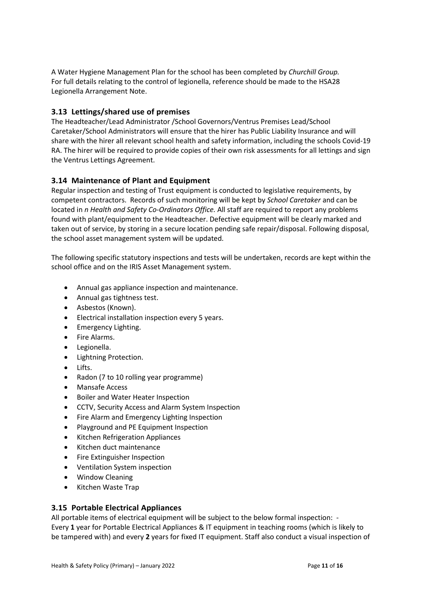A Water Hygiene Management Plan for the school has been completed by *Churchill Group.* For full details relating to the control of legionella, reference should be made to the HSA28 Legionella Arrangement Note.

# <span id="page-10-0"></span>**3.13 Lettings/shared use of premises**

The Headteacher/Lead Administrator /School Governors/Ventrus Premises Lead/School Caretaker/School Administrators will ensure that the hirer has Public Liability Insurance and will share with the hirer all relevant school health and safety information, including the schools Covid-19 RA. The hirer will be required to provide copies of their own risk assessments for all lettings and sign the Ventrus Lettings Agreement.

# <span id="page-10-1"></span>**3.14 Maintenance of Plant and Equipment**

Regular inspection and testing of Trust equipment is conducted to legislative requirements, by competent contractors. Records of such monitoring will be kept by *School Caretaker* and can be located in *n Health and Safety Co-Ordinators Office.* All staff are required to report any problems found with plant/equipment to the Headteacher. Defective equipment will be clearly marked and taken out of service, by storing in a secure location pending safe repair/disposal. Following disposal, the school asset management system will be updated.

The following specific statutory inspections and tests will be undertaken, records are kept within the school office and on the IRIS Asset Management system.

- Annual gas appliance inspection and maintenance.
- Annual gas tightness test.
- Asbestos (Known).
- Electrical installation inspection every 5 years.
- Emergency Lighting.
- Fire Alarms.
- Legionella.
- Lightning Protection.
- Lifts.
- Radon (7 to 10 rolling year programme)
- Mansafe Access
- Boiler and Water Heater Inspection
- CCTV, Security Access and Alarm System Inspection
- Fire Alarm and Emergency Lighting Inspection
- Playground and PE Equipment Inspection
- **•** Kitchen Refrigeration Appliances
- Kitchen duct maintenance
- Fire Extinguisher Inspection
- Ventilation System inspection
- Window Cleaning
- Kitchen Waste Trap

#### <span id="page-10-2"></span>**3.15 Portable Electrical Appliances**

All portable items of electrical equipment will be subject to the below formal inspection: -Every **1** year for Portable Electrical Appliances & IT equipment in teaching rooms (which is likely to be tampered with) and every **2** years for fixed IT equipment. Staff also conduct a visual inspection of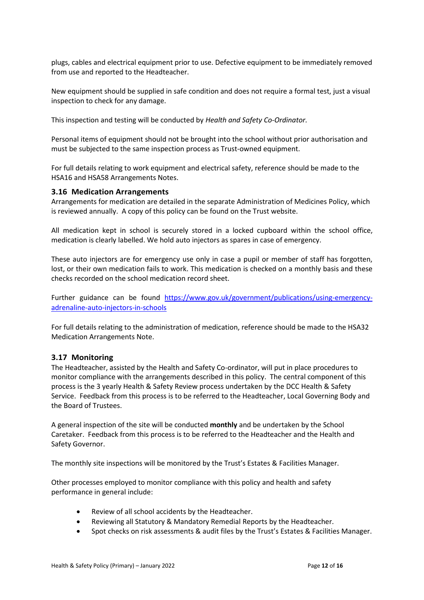plugs, cables and electrical equipment prior to use. Defective equipment to be immediately removed from use and reported to the Headteacher.

New equipment should be supplied in safe condition and does not require a formal test, just a visual inspection to check for any damage.

This inspection and testing will be conducted by *Health and Safety Co-Ordinator.*

Personal items of equipment should not be brought into the school without prior authorisation and must be subjected to the same inspection process as Trust-owned equipment.

For full details relating to work equipment and electrical safety, reference should be made to the HSA16 and HSA58 Arrangements Notes.

#### <span id="page-11-0"></span>**3.16 Medication Arrangements**

Arrangements for medication are detailed in the separate Administration of Medicines Policy, which is reviewed annually. A copy of this policy can be found on the Trust website.

All medication kept in school is securely stored in a locked cupboard within the school office, medication is clearly labelled. We hold auto injectors as spares in case of emergency.

These auto injectors are for emergency use only in case a pupil or member of staff has forgotten, lost, or their own medication fails to work. This medication is checked on a monthly basis and these checks recorded on the school medication record sheet.

Further guidance can be found [https://www.gov.uk/government/publications/using-emergency](https://www.gov.uk/government/publications/using-emergency-adrenaline-auto-injectors-in-schools)[adrenaline-auto-injectors-in-schools](https://www.gov.uk/government/publications/using-emergency-adrenaline-auto-injectors-in-schools)

For full details relating to the administration of medication, reference should be made to the HSA32 Medication Arrangements Note.

#### <span id="page-11-1"></span>**3.17 Monitoring**

The Headteacher, assisted by the Health and Safety Co-ordinator, will put in place procedures to monitor compliance with the arrangements described in this policy. The central component of this process is the 3 yearly Health & Safety Review process undertaken by the DCC Health & Safety Service. Feedback from this process is to be referred to the Headteacher, Local Governing Body and the Board of Trustees.

A general inspection of the site will be conducted **monthly** and be undertaken by the School Caretaker. Feedback from this process is to be referred to the Headteacher and the Health and Safety Governor.

The monthly site inspections will be monitored by the Trust's Estates & Facilities Manager.

Other processes employed to monitor compliance with this policy and health and safety performance in general include:

- Review of all school accidents by the Headteacher.
- Reviewing all Statutory & Mandatory Remedial Reports by the Headteacher.
- Spot checks on risk assessments & audit files by the Trust's Estates & Facilities Manager.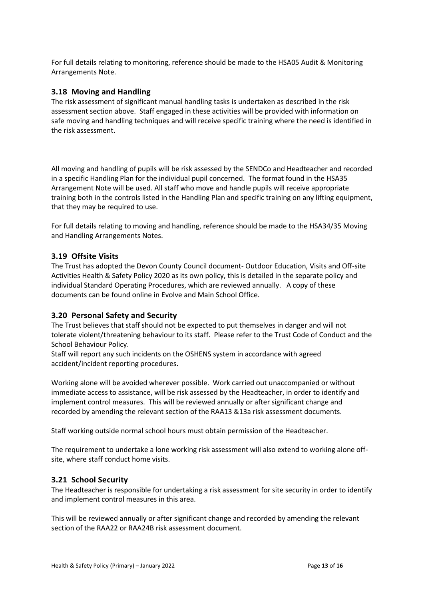For full details relating to monitoring, reference should be made to the HSA05 Audit & Monitoring Arrangements Note.

#### <span id="page-12-0"></span>**3.18 Moving and Handling**

The risk assessment of significant manual handling tasks is undertaken as described in the risk assessment section above. Staff engaged in these activities will be provided with information on safe moving and handling techniques and will receive specific training where the need is identified in the risk assessment.

All moving and handling of pupils will be risk assessed by the SENDCo and Headteacher and recorded in a specific Handling Plan for the individual pupil concerned. The format found in the HSA35 Arrangement Note will be used. All staff who move and handle pupils will receive appropriate training both in the controls listed in the Handling Plan and specific training on any lifting equipment, that they may be required to use.

For full details relating to moving and handling, reference should be made to the HSA34/35 Moving and Handling Arrangements Notes.

#### <span id="page-12-1"></span>**3.19 Offsite Visits**

The Trust has adopted the Devon County Council document- Outdoor Education, Visits and Off-site Activities Health & Safety Policy 2020 as its own policy, this is detailed in the separate policy and individual Standard Operating Procedures, which are reviewed annually. A copy of these documents can be found online in Evolve and Main School Office.

#### <span id="page-12-2"></span>**3.20 Personal Safety and Security**

The Trust believes that staff should not be expected to put themselves in danger and will not tolerate violent/threatening behaviour to its staff. Please refer to the Trust Code of Conduct and the School Behaviour Policy.

Staff will report any such incidents on the OSHENS system in accordance with agreed accident/incident reporting procedures.

Working alone will be avoided wherever possible. Work carried out unaccompanied or without immediate access to assistance, will be risk assessed by the Headteacher, in order to identify and implement control measures. This will be reviewed annually or after significant change and recorded by amending the relevant section of the RAA13 &13a risk assessment documents.

Staff working outside normal school hours must obtain permission of the Headteacher.

The requirement to undertake a lone working risk assessment will also extend to working alone offsite, where staff conduct home visits.

#### <span id="page-12-3"></span>**3.21 School Security**

The Headteacher is responsible for undertaking a risk assessment for site security in order to identify and implement control measures in this area.

This will be reviewed annually or after significant change and recorded by amending the relevant section of the RAA22 or RAA24B risk assessment document.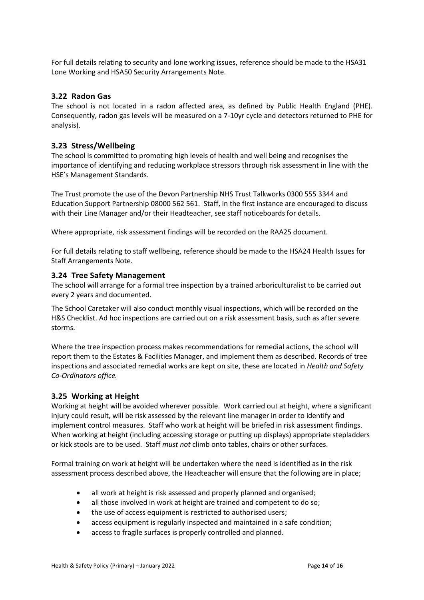For full details relating to security and lone working issues, reference should be made to the HSA31 Lone Working and HSA50 Security Arrangements Note.

#### <span id="page-13-0"></span>**3.22 Radon Gas**

The school is not located in a radon affected area, as defined by Public Health England (PHE). Consequently, radon gas levels will be measured on a 7-10yr cycle and detectors returned to PHE for analysis).

#### <span id="page-13-1"></span>**3.23 Stress/Wellbeing**

The school is committed to promoting high levels of health and well being and recognises the importance of identifying and reducing workplace stressors through risk assessment in line with the HSE's Management Standards.

The Trust promote the use of the Devon Partnership NHS Trust Talkworks 0300 555 3344 and Education Support Partnership 08000 562 561. Staff, in the first instance are encouraged to discuss with their Line Manager and/or their Headteacher, see staff noticeboards for details.

Where appropriate, risk assessment findings will be recorded on the RAA25 document.

For full details relating to staff wellbeing, reference should be made to the HSA24 Health Issues for Staff Arrangements Note.

#### <span id="page-13-2"></span>**3.24 Tree Safety Management**

The school will arrange for a formal tree inspection by a trained arboriculturalist to be carried out every 2 years and documented.

The School Caretaker will also conduct monthly visual inspections, which will be recorded on the H&S Checklist. Ad hoc inspections are carried out on a risk assessment basis, such as after severe storms.

Where the tree inspection process makes recommendations for remedial actions, the school will report them to the Estates & Facilities Manager, and implement them as described. Records of tree inspections and associated remedial works are kept on site, these are located in *Health and Safety Co-Ordinators office.*

#### <span id="page-13-3"></span>**3.25 Working at Height**

Working at height will be avoided wherever possible. Work carried out at height, where a significant injury could result, will be risk assessed by the relevant line manager in order to identify and implement control measures. Staff who work at height will be briefed in risk assessment findings. When working at height (including accessing storage or putting up displays) appropriate stepladders or kick stools are to be used. Staff *must not* climb onto tables, chairs or other surfaces.

Formal training on work at height will be undertaken where the need is identified as in the risk assessment process described above, the Headteacher will ensure that the following are in place;

- all work at height is risk assessed and properly planned and organised;
- all those involved in work at height are trained and competent to do so;
- the use of access equipment is restricted to authorised users;
- access equipment is regularly inspected and maintained in a safe condition;
- access to fragile surfaces is properly controlled and planned.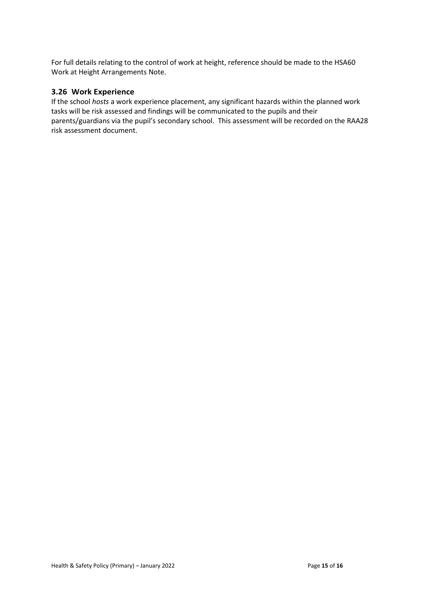For full details relating to the control of work at height, reference should be made to the HSA60 Work at Height Arrangements Note.

#### <span id="page-14-0"></span>**3.26 Work Experience**

If the school *hosts* a work experience placement, any significant hazards within the planned work tasks will be risk assessed and findings will be communicated to the pupils and their parents/guardians via the pupil's secondary school. This assessment will be recorded on the RAA28 risk assessment document.